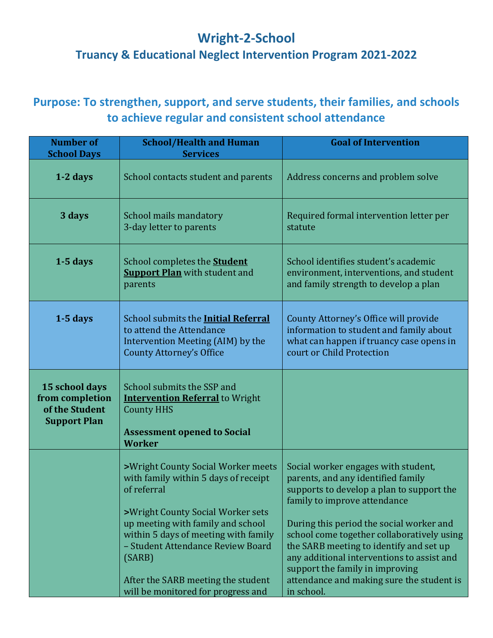## **Wright-2-School**

## **Truancy & Educational Neglect Intervention Program 2021-2022**

## **Purpose: To strengthen, support, and serve students, their families, and schools to achieve regular and consistent school attendance**

| <b>Number of</b><br><b>School Days</b>                                     | <b>School/Health and Human</b><br><b>Services</b>                                                                                                                                                                                                                                                                                      | <b>Goal of Intervention</b>                                                                                                                                                                                                                                                                                                                                                                                                             |
|----------------------------------------------------------------------------|----------------------------------------------------------------------------------------------------------------------------------------------------------------------------------------------------------------------------------------------------------------------------------------------------------------------------------------|-----------------------------------------------------------------------------------------------------------------------------------------------------------------------------------------------------------------------------------------------------------------------------------------------------------------------------------------------------------------------------------------------------------------------------------------|
| 1-2 days                                                                   | School contacts student and parents                                                                                                                                                                                                                                                                                                    | Address concerns and problem solve                                                                                                                                                                                                                                                                                                                                                                                                      |
| 3 days                                                                     | School mails mandatory<br>3-day letter to parents                                                                                                                                                                                                                                                                                      | Required formal intervention letter per<br>statute                                                                                                                                                                                                                                                                                                                                                                                      |
| $1-5$ days                                                                 | School completes the <b>Student</b><br><b>Support Plan</b> with student and<br>parents                                                                                                                                                                                                                                                 | School identifies student's academic<br>environment, interventions, and student<br>and family strength to develop a plan                                                                                                                                                                                                                                                                                                                |
| $1-5$ days                                                                 | School submits the <b>Initial Referral</b><br>to attend the Attendance<br>Intervention Meeting (AIM) by the<br><b>County Attorney's Office</b>                                                                                                                                                                                         | County Attorney's Office will provide<br>information to student and family about<br>what can happen if truancy case opens in<br>court or Child Protection                                                                                                                                                                                                                                                                               |
| 15 school days<br>from completion<br>of the Student<br><b>Support Plan</b> | School submits the SSP and<br><b>Intervention Referral</b> to Wright<br><b>County HHS</b><br><b>Assessment opened to Social</b><br><b>Worker</b>                                                                                                                                                                                       |                                                                                                                                                                                                                                                                                                                                                                                                                                         |
|                                                                            | >Wright County Social Worker meets<br>with family within 5 days of receipt<br>of referral<br>>Wright County Social Worker sets<br>up meeting with family and school<br>within 5 days of meeting with family<br>- Student Attendance Review Board<br>(SARB)<br>After the SARB meeting the student<br>will be monitored for progress and | Social worker engages with student,<br>parents, and any identified family<br>supports to develop a plan to support the<br>family to improve attendance<br>During this period the social worker and<br>school come together collaboratively using<br>the SARB meeting to identify and set up<br>any additional interventions to assist and<br>support the family in improving<br>attendance and making sure the student is<br>in school. |